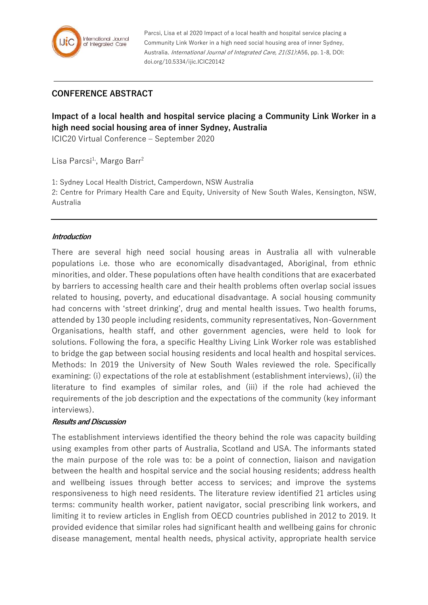

Parcsi, Lisa et al 2020 Impact of a local health and hospital service placing a Community Link Worker in a high need social housing area of inner Sydney, Australia. International Journal of Integrated Care, 21(S1):A56, pp. 1-8, DOI: doi.org/10.5334/ijic.ICIC20142

## **CONFERENCE ABSTRACT**

# **Impact of a local health and hospital service placing a Community Link Worker in a high need social housing area of inner Sydney, Australia**

ICIC20 Virtual Conference – September 2020

Lisa Parcsi<sup>1</sup>, Margo Barr<sup>2</sup>

1: Sydney Local Health District, Camperdown, NSW Australia

2: Centre for Primary Health Care and Equity, University of New South Wales, Kensington, NSW, Australia

#### **Introduction**

There are several high need social housing areas in Australia all with vulnerable populations i.e. those who are economically disadvantaged, Aboriginal, from ethnic minorities, and older. These populations often have health conditions that are exacerbated by barriers to accessing health care and their health problems often overlap social issues related to housing, poverty, and educational disadvantage. A social housing community had concerns with 'street drinking', drug and mental health issues. Two health forums, attended by 130 people including residents, community representatives, Non-Government Organisations, health staff, and other government agencies, were held to look for solutions. Following the fora, a specific Healthy Living Link Worker role was established to bridge the gap between social housing residents and local health and hospital services. Methods: In 2019 the University of New South Wales reviewed the role. Specifically examining: (i) expectations of the role at establishment (establishment interviews), (ii) the literature to find examples of similar roles, and (iii) if the role had achieved the requirements of the job description and the expectations of the community (key informant interviews).

#### **Results and Discussion**

The establishment interviews identified the theory behind the role was capacity building using examples from other parts of Australia, Scotland and USA. The informants stated the main purpose of the role was to: be a point of connection, liaison and navigation between the health and hospital service and the social housing residents; address health and wellbeing issues through better access to services; and improve the systems responsiveness to high need residents. The literature review identified 21 articles using terms: community health worker, patient navigator, social prescribing link workers, and limiting it to review articles in English from OECD countries published in 2012 to 2019. It provided evidence that similar roles had significant health and wellbeing gains for chronic disease management, mental health needs, physical activity, appropriate health service